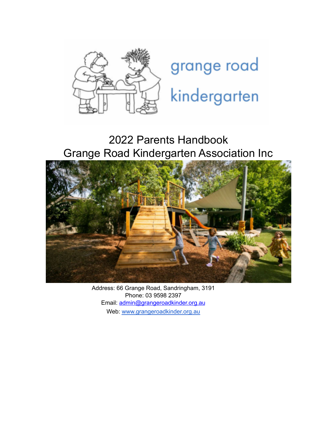

# grange road kindergarten

# 2022 Parents Handbook Grange Road Kindergarten Association Inc



Address: 66 Grange Road, Sandringham, 3191 Phone: 03 9598 2397 Email: admin@grangeroadkinder.org.au Web: [www.grangeroadkinder.org.au](http://www.grangeroadkinder.org.au)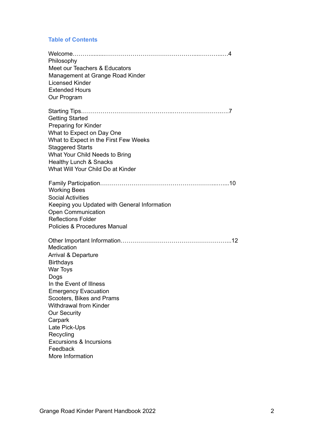# **Table of Contents**

| Philosophy<br>Meet our Teachers & Educators<br>Management at Grange Road Kinder<br><b>Licensed Kinder</b><br><b>Extended Hours</b><br>Our Program                                                                                                           |  |
|-------------------------------------------------------------------------------------------------------------------------------------------------------------------------------------------------------------------------------------------------------------|--|
| <b>Getting Started</b><br>Preparing for Kinder<br>What to Expect on Day One<br>What to Expect in the First Few Weeks<br><b>Staggered Starts</b><br>What Your Child Needs to Bring<br><b>Healthy Lunch &amp; Snacks</b><br>What Will Your Child Do at Kinder |  |
| <b>Working Bees</b><br><b>Social Activities</b><br>Keeping you Updated with General Information<br><b>Open Communication</b><br><b>Reflections Folder</b><br><b>Policies &amp; Procedures Manual</b>                                                        |  |
| Medication<br>Arrival & Departure<br><b>Birthdays</b><br>War Toys<br>Dogs<br>In the Event of Illness<br><b>Emergency Evacuation</b><br>Scooters, Bikes and Prams<br><b>Withdrawal from Kinder</b>                                                           |  |
| <b>Our Security</b><br>Carpark<br>Late Pick-Ups<br>Recycling<br><b>Excursions &amp; Incursions</b><br>Feedback<br>More Information                                                                                                                          |  |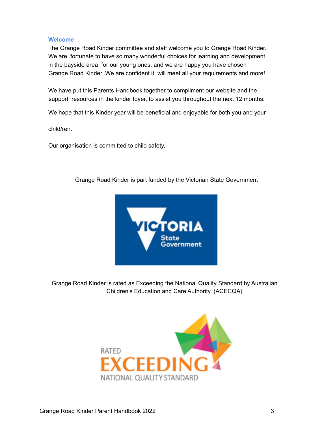#### **Welcome**

The Grange Road Kinder committee and staff welcome you to Grange Road Kinder. We are fortunate to have so many wonderful choices for learning and development in the bayside area for our young ones, and we are happy you have chosen Grange Road Kinder. We are confident it will meet all your requirements and more!

We have put this Parents Handbook together to compliment our website and the support resources in the kinder foyer, to assist you throughout the next 12 months.

We hope that this Kinder year will be beneficial and enjoyable for both you and your

child/ren.

Our organisation is committed to child safety.



Grange Road Kinder is part funded by the Victorian State Government

Grange Road Kinder is rated as Exceeding the National Quality Standard by Australian Children's Education and Care Authority. (ACECQA)

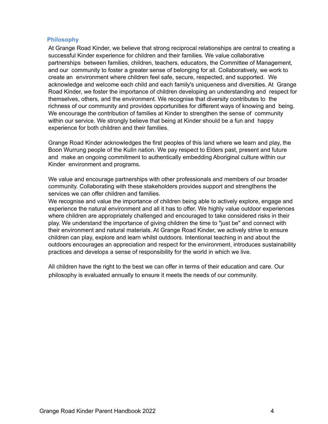#### **Philosophy**

At Grange Road Kinder, we believe that strong reciprocal relationships are central to creating a successful Kinder experience for children and their families. We value collaborative partnerships between families, children, teachers, educators, the Committee of Management, and our community to foster a greater sense of belonging for all. Collaboratively, we work to create an environment where children feel safe, secure, respected, and supported. We acknowledge and welcome each child and each family's uniqueness and diversities. At Grange Road Kinder, we foster the importance of children developing an understanding and respect for themselves, others, and the environment. We recognise that diversity contributes to the richness of our community and provides opportunities for different ways of knowing and being. We encourage the contribution of families at Kinder to strengthen the sense of community within our service. We strongly believe that being at Kinder should be a fun and happy experience for both children and their families.

Grange Road Kinder acknowledges the first peoples of this land where we learn and play, the Boon Wurrung people of the Kulin nation. We pay respect to Elders past, present and future and make an ongoing commitment to authentically embedding Aboriginal culture within our Kinder environment and programs.

We value and encourage partnerships with other professionals and members of our broader community. Collaborating with these stakeholders provides support and strengthens the services we can offer children and families.

We recognise and value the importance of children being able to actively explore, engage and experience the natural environment and all it has to offer. We highly value outdoor experiences where children are appropriately challenged and encouraged to take considered risks in their play. We understand the importance of giving children the time to "just be" and connect with their environment and natural materials. At Grange Road Kinder, we actively strive to ensure children can play, explore and learn whilst outdoors. Intentional teaching in and about the outdoors encourages an appreciation and respect for the environment, introduces sustainability practices and develops a sense of responsibility for the world in which we live.

All children have the right to the best we can offer in terms of their education and care. Our philosophy is evaluated annually to ensure it meets the needs of our community.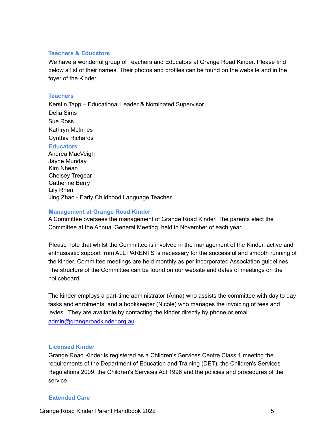#### **Teachers & Educators**

We have a wonderful group of Teachers and Educators at Grange Road Kinder. Please find below a list of their names. Their photos and profiles can be found on the website and in the foyer of the Kinder.

#### **Teachers**

Kerstin Tapp – Educational Leader & Nominated Supervisor Delia Sims Sue Ross Kathryn McInnes Cynthia Richards **Educators** Andrea MacVeigh Jayne Munday Kim Nhean Chelsey Tregear Catherine Berry Lily Rhen Jing Zhao - Early Childhood Language Teacher

#### **Management at Grange Road Kinder**

A Committee oversees the management of Grange Road Kinder. The parents elect the Committee at the Annual General Meeting, held in November of each year.

Please note that whilst the Committee is involved in the management of the Kinder, active and enthusiastic support from ALL PARENTS is necessary for the successful and smooth running of the kinder. Committee meetings are held monthly as per incorporated Association guidelines. The structure of the Committee can be found on our website and dates of meetings on the noticeboard.

The kinder employs a part-time administrator (Anna) who assists the committee with day to day tasks and enrolments, and a bookkeeper (Nicole) who manages the invoicing of fees and levies. They are available by contacting the kinder directly by phone or email admin@grangeroadkinder.org.au

#### **Licensed Kinder**

Grange Road Kinder is registered as a Children's Services Centre Class 1 meeting the requirements of the Department of Education and Training (DET), the Children's Services Regulations 2009, the Children's Services Act 1996 and the policies and procedures of the service.

#### **Extended Care**

Grange Road Kinder Parent Handbook 2022 5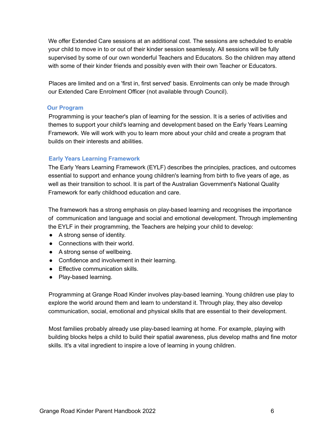We offer Extended Care sessions at an additional cost. The sessions are scheduled to enable your child to move in to or out of their kinder session seamlessly. All sessions will be fully supervised by some of our own wonderful Teachers and Educators. So the children may attend with some of their kinder friends and possibly even with their own Teacher or Educators.

Places are limited and on a 'first in, first served' basis. Enrolments can only be made through our Extended Care Enrolment Officer (not available through Council).

# **Our Program**

Programming is your teacher's plan of learning for the session. It is a series of activities and themes to support your child's learning and development based on the Early Years Learning Framework. We will work with you to learn more about your child and create a program that builds on their interests and abilities.

# **Early Years Learning Framework**

The Early Years Learning Framework (EYLF) describes the principles, practices, and outcomes essential to support and enhance young children's learning from birth to five years of age, as well as their transition to school. It is part of the Australian Government's National Quality Framework for early childhood education and care.

The framework has a strong emphasis on play-based learning and recognises the importance of communication and language and social and emotional development. Through implementing the EYLF in their programming, the Teachers are helping your child to develop:

- A strong sense of identity.
- Connections with their world.
- A strong sense of wellbeing.
- Confidence and involvement in their learning.
- Effective communication skills.
- Play-based learning.

Programming at Grange Road Kinder involves play-based learning. Young children use play to explore the world around them and learn to understand it. Through play, they also develop communication, social, emotional and physical skills that are essential to their development.

Most families probably already use play-based learning at home. For example, playing with building blocks helps a child to build their spatial awareness, plus develop maths and fine motor skills. It's a vital ingredient to inspire a love of learning in young children.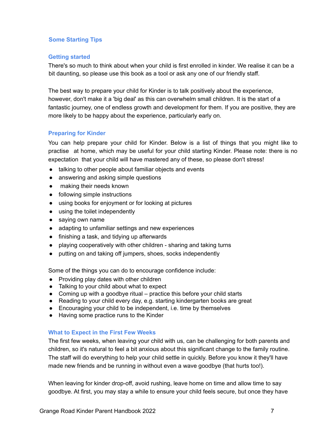# **Some Starting Tips**

#### **Getting started**

There's so much to think about when your child is first enrolled in kinder. We realise it can be a bit daunting, so please use this book as a tool or ask any one of our friendly staff.

The best way to prepare your child for Kinder is to talk positively about the experience, however, don't make it a 'big deal' as this can overwhelm small children. It is the start of a fantastic journey, one of endless growth and development for them. If you are positive, they are more likely to be happy about the experience, particularly early on.

#### **Preparing for Kinder**

You can help prepare your child for Kinder. Below is a list of things that you might like to practise at home, which may be useful for your child starting Kinder. Please note: there is no expectation that your child will have mastered any of these, so please don't stress!

- talking to other people about familiar objects and events
- answering and asking simple questions
- making their needs known
- following simple instructions
- using books for enjoyment or for looking at pictures
- using the toilet independently
- saying own name
- adapting to unfamiliar settings and new experiences
- finishing a task, and tidying up afterwards
- playing cooperatively with other children sharing and taking turns
- putting on and taking off jumpers, shoes, socks independently

Some of the things you can do to encourage confidence include:

- Providing play dates with other children
- Talking to your child about what to expect
- Coming up with a goodbye ritual practice this before your child starts
- Reading to your child every day, e.g. starting kindergarten books are great
- Encouraging your child to be independent, i.e. time by themselves
- Having some practice runs to the Kinder

#### **What to Expect in the First Few Weeks**

The first few weeks, when leaving your child with us, can be challenging for both parents and children, so it's natural to feel a bit anxious about this significant change to the family routine. The staff will do everything to help your child settle in quickly. Before you know it they'll have made new friends and be running in without even a wave goodbye (that hurts too!).

When leaving for kinder drop-off, avoid rushing, leave home on time and allow time to say goodbye. At first, you may stay a while to ensure your child feels secure, but once they have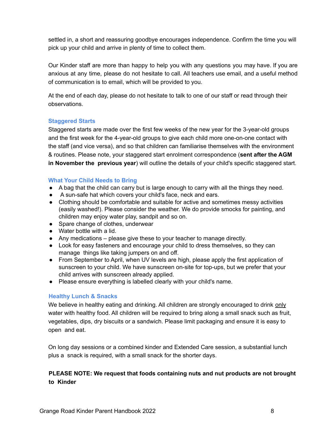settled in, a short and reassuring goodbye encourages independence. Confirm the time you will pick up your child and arrive in plenty of time to collect them.

Our Kinder staff are more than happy to help you with any questions you may have. If you are anxious at any time, please do not hesitate to call. All teachers use email, and a useful method of communication is to email, which will be provided to you.

At the end of each day, please do not hesitate to talk to one of our staff or read through their observations.

# **Staggered Starts**

Staggered starts are made over the first few weeks of the new year for the 3-year-old groups and the first week for the 4-year-old groups to give each child more one-on-one contact with the staff (and vice versa), and so that children can familiarise themselves with the environment & routines. Please note, your staggered start enrolment correspondence (**sent after the AGM in November the previous year**) will outline the details of your child's specific staggered start.

# **What Your Child Needs to Bring**

- A bag that the child can carry but is large enough to carry with all the things they need.
- A sun-safe hat which covers your child's face, neck and ears.
- Clothing should be comfortable and suitable for active and sometimes messy activities (easily washed!). Please consider the weather. We do provide smocks for painting, and children may enjoy water play, sandpit and so on.
- Spare change of clothes, underwear
- Water bottle with a lid.
- Any medications please give these to your teacher to manage directly.
- Look for easy fasteners and encourage your child to dress themselves, so they can manage things like taking jumpers on and off.
- From September to April, when UV levels are high, please apply the first application of sunscreen to your child. We have sunscreen on-site for top-ups, but we prefer that your child arrives with sunscreen already applied.
- Please ensure everything is labelled clearly with your child's name.

# **Healthy Lunch & Snacks**

We believe in healthy eating and drinking. All children are strongly encouraged to drink only water with healthy food. All children will be required to bring along a small snack such as fruit, vegetables, dips, dry biscuits or a sandwich. Please limit packaging and ensure it is easy to open and eat.

On long day sessions or a combined kinder and Extended Care session, a substantial lunch plus a snack is required, with a small snack for the shorter days.

# **PLEASE NOTE: We request that foods containing nuts and nut products are not brought to Kinder**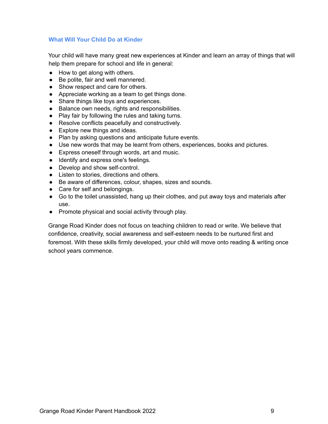# **What Will Your Child Do at Kinder**

Your child will have many great new experiences at Kinder and learn an array of things that will help them prepare for school and life in general:

- How to get along with others.
- Be polite, fair and well mannered.
- Show respect and care for others.
- Appreciate working as a team to get things done.
- Share things like toys and experiences.
- Balance own needs, rights and responsibilities.
- Play fair by following the rules and taking turns.
- Resolve conflicts peacefully and constructively.
- Explore new things and ideas.
- Plan by asking questions and anticipate future events.
- Use new words that may be learnt from others, experiences, books and pictures.
- Express oneself through words, art and music.
- Identify and express one's feelings.
- Develop and show self-control.
- Listen to stories, directions and others.
- Be aware of differences, colour, shapes, sizes and sounds.
- Care for self and belongings.
- Go to the toilet unassisted, hang up their clothes, and put away toys and materials after use.
- Promote physical and social activity through play.

Grange Road Kinder does not focus on teaching children to read or write. We believe that confidence, creativity, social awareness and self-esteem needs to be nurtured first and foremost. With these skills firmly developed, your child will move onto reading & writing once school years commence.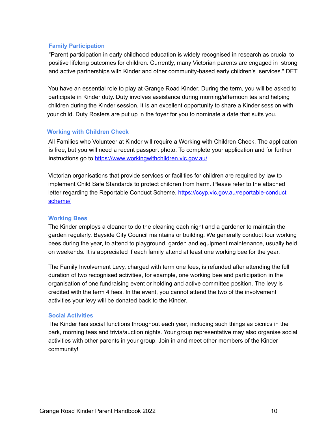# **Family Participation**

"Parent participation in early childhood education is widely recognised in research as crucial to positive lifelong outcomes for children. Currently, many Victorian parents are engaged in strong and active partnerships with Kinder and other community-based early children's services." DET

You have an essential role to play at Grange Road Kinder. During the term, you will be asked to participate in Kinder duty. Duty involves assistance during morning/afternoon tea and helping children during the Kinder session. It is an excellent opportunity to share a Kinder session with your child. Duty Rosters are put up in the foyer for you to nominate a date that suits you.

#### **Working with Children Check**

All Families who Volunteer at Kinder will require a Working with Children Check. The application is free, but you will need a recent passport photo. To complete your application and for further instructions go to https://www.workingwithchildren.vic.gov.au/

Victorian organisations that provide services or facilities for children are required by law to implement Child Safe Standards to protect children from harm. Please refer to the attached letter regarding the Reportable Conduct Scheme. https://ccyp.vic.gov.au/reportable-conduct scheme/

# **Working Bees**

The Kinder employs a cleaner to do the cleaning each night and a gardener to maintain the garden regularly. Bayside City Council maintains or building. We generally conduct four working bees during the year, to attend to playground, garden and equipment maintenance, usually held on weekends. It is appreciated if each family attend at least one working bee for the year.

The Family Involvement Levy, charged with term one fees, is refunded after attending the full duration of two recognised activities, for example, one working bee and participation in the organisation of one fundraising event or holding and active committee position. The levy is credited with the term 4 fees. In the event, you cannot attend the two of the involvement activities your levy will be donated back to the Kinder.

#### **Social Activities**

The Kinder has social functions throughout each year, including such things as picnics in the park, morning teas and trivia/auction nights. Your group representative may also organise social activities with other parents in your group. Join in and meet other members of the Kinder community!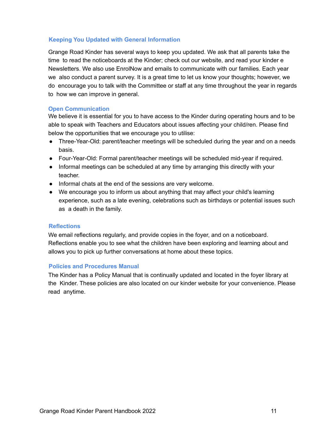# **Keeping You Updated with General Information**

Grange Road Kinder has several ways to keep you updated. We ask that all parents take the time to read the noticeboards at the Kinder; check out our website, and read your kinder e Newsletters. We also use EnrolNow and emails to communicate with our families. Each year we also conduct a parent survey. It is a great time to let us know your thoughts; however, we do encourage you to talk with the Committee or staff at any time throughout the year in regards to how we can improve in general.

# **Open Communication**

We believe it is essential for you to have access to the Kinder during operating hours and to be able to speak with Teachers and Educators about issues affecting your child/ren. Please find below the opportunities that we encourage you to utilise:

- Three-Year-Old: parent/teacher meetings will be scheduled during the year and on a needs basis.
- Four-Year-Old: Formal parent/teacher meetings will be scheduled mid-year if required.
- Informal meetings can be scheduled at any time by arranging this directly with your teacher.
- Informal chats at the end of the sessions are very welcome.
- We encourage you to inform us about anything that may affect your child's learning experience, such as a late evening, celebrations such as birthdays or potential issues such as a death in the family.

#### **Reflections**

We email reflections regularly, and provide copies in the foyer, and on a noticeboard. Reflections enable you to see what the children have been exploring and learning about and allows you to pick up further conversations at home about these topics.

#### **Policies and Procedures Manual**

The Kinder has a Policy Manual that is continually updated and located in the foyer library at the Kinder. These policies are also located on our kinder website for your convenience. Please read anytime.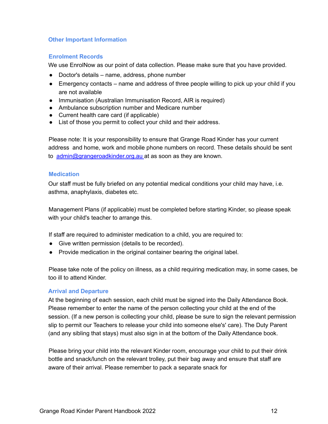# **Other Important Information**

#### **Enrolment Records**

We use EnrolNow as our point of data collection. Please make sure that you have provided.

- Doctor's details name, address, phone number
- Emergency contacts name and address of three people willing to pick up your child if you are not available
- Immunisation (Australian Immunisation Record, AIR is required)
- Ambulance subscription number and Medicare number
- Current health care card (if applicable)
- List of those you permit to collect your child and their address.

Please note: It is your responsibility to ensure that Grange Road Kinder has your current address and home, work and mobile phone numbers on record. These details should be sent to admin@grangeroadkinder.org.au at as soon as they are known.

#### **Medication**

Our staff must be fully briefed on any potential medical conditions your child may have, i.e. asthma, anaphylaxis, diabetes etc.

Management Plans (if applicable) must be completed before starting Kinder, so please speak with your child's teacher to arrange this.

If staff are required to administer medication to a child, you are required to:

- Give written permission (details to be recorded).
- Provide medication in the original container bearing the original label.

Please take note of the policy on illness, as a child requiring medication may, in some cases, be too ill to attend Kinder.

#### **Arrival and Departure**

At the beginning of each session, each child must be signed into the Daily Attendance Book. Please remember to enter the name of the person collecting your child at the end of the session. (If a new person is collecting your child, please be sure to sign the relevant permission slip to permit our Teachers to release your child into someone else's' care). The Duty Parent (and any sibling that stays) must also sign in at the bottom of the Daily Attendance book.

Please bring your child into the relevant Kinder room, encourage your child to put their drink bottle and snack/lunch on the relevant trolley, put their bag away and ensure that staff are aware of their arrival. Please remember to pack a separate snack for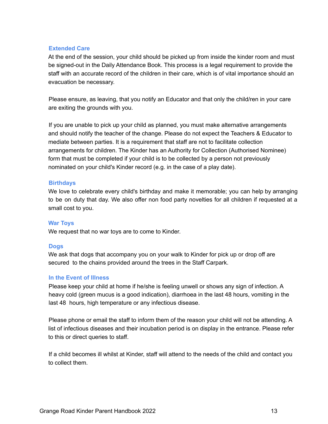# **Extended Care**

At the end of the session, your child should be picked up from inside the kinder room and must be signed-out in the Daily Attendance Book. This process is a legal requirement to provide the staff with an accurate record of the children in their care, which is of vital importance should an evacuation be necessary.

Please ensure, as leaving, that you notify an Educator and that only the child/ren in your care are exiting the grounds with you.

If you are unable to pick up your child as planned, you must make alternative arrangements and should notify the teacher of the change. Please do not expect the Teachers & Educator to mediate between parties. It is a requirement that staff are not to facilitate collection arrangements for children. The Kinder has an Authority for Collection (Authorised Nominee) form that must be completed if your child is to be collected by a person not previously nominated on your child's Kinder record (e.g. in the case of a play date).

# **Birthdays**

We love to celebrate every child's birthday and make it memorable; you can help by arranging to be on duty that day. We also offer non food party novelties for all children if requested at a small cost to you.

#### **War Toys**

We request that no war toys are to come to Kinder.

#### **Dogs**

We ask that dogs that accompany you on your walk to Kinder for pick up or drop off are secured to the chains provided around the trees in the Staff Carpark.

#### **In the Event of Illness**

Please keep your child at home if he/she is feeling unwell or shows any sign of infection. A heavy cold (green mucus is a good indication), diarrhoea in the last 48 hours, vomiting in the last 48 hours, high temperature or any infectious disease.

Please phone or email the staff to inform them of the reason your child will not be attending. A list of infectious diseases and their incubation period is on display in the entrance. Please refer to this or direct queries to staff.

If a child becomes ill whilst at Kinder, staff will attend to the needs of the child and contact you to collect them.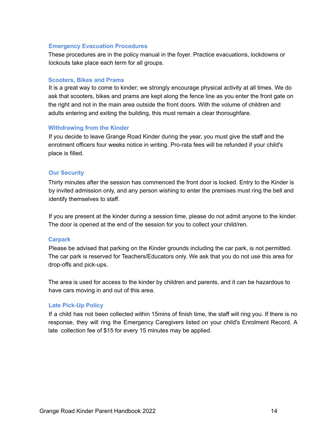#### **Emergency Evacuation Procedures**

These procedures are in the policy manual in the foyer. Practice evacuations, lockdowns or lockouts take place each term for all groups.

#### **Scooters, Bikes and Prams**

It is a great way to come to kinder; we strongly encourage physical activity at all times. We do ask that scooters, bikes and prams are kept along the fence line as you enter the front gate on the right and not in the main area outside the front doors. With the volume of children and adults entering and exiting the building, this must remain a clear thoroughfare.

#### **Withdrawing from the Kinder**

If you decide to leave Grange Road Kinder during the year, you must give the staff and the enrolment officers four weeks notice in writing. Pro-rata fees will be refunded if your child's place is filled.

#### **Our Security**

Thirty minutes after the session has commenced the front door is locked. Entry to the Kinder is by invited admission only, and any person wishing to enter the premises must ring the bell and identify themselves to staff.

If you are present at the kinder during a session time, please do not admit anyone to the kinder. The door is opened at the end of the session for you to collect your child/ren.

#### **Carpark**

Please be advised that parking on the Kinder grounds including the car park, is not permitted. The car park is reserved for Teachers/Educators only. We ask that you do not use this area for drop-offs and pick-ups.

The area is used for access to the kinder by children and parents, and it can be hazardous to have cars moving in and out of this area.

#### **Late Pick-Up Policy**

If a child has not been collected within 15mins of finish time, the staff will ring you. If there is no response, they will ring the Emergency Caregivers listed on your child's Enrolment Record. A late collection fee of \$15 for every 15 minutes may be applied.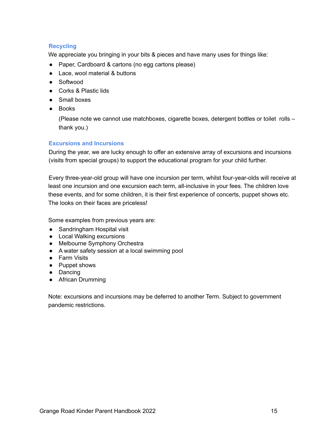# **Recycling**

We appreciate you bringing in your bits & pieces and have many uses for things like:

- Paper, Cardboard & cartons (no egg cartons please)
- Lace, wool material & buttons
- Softwood
- Corks & Plastic lids
- Small boxes
- Books

(Please note we cannot use matchboxes, cigarette boxes, detergent bottles or toilet rolls – thank you.)

# **Excursions and Incursions**

During the year, we are lucky enough to offer an extensive array of excursions and incursions (visits from special groups) to support the educational program for your child further.

Every three-year-old group will have one incursion per term, whilst four-year-olds will receive at least one incursion and one excursion each term, all-inclusive in your fees. The children love these events, and for some children, it is their first experience of concerts, puppet shows etc. The looks on their faces are priceless!

Some examples from previous years are:

- Sandringham Hospital visit
- Local Walking excursions
- Melbourne Symphony Orchestra
- A water safety session at a local swimming pool
- Farm Visits
- Puppet shows
- Dancing
- African Drumming

Note: excursions and incursions may be deferred to another Term. Subject to government pandemic restrictions.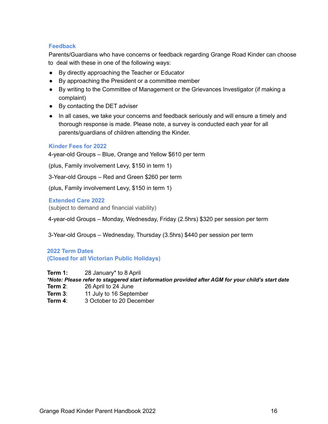# **Feedback**

Parents/Guardians who have concerns or feedback regarding Grange Road Kinder can choose to deal with these in one of the following ways:

- By directly approaching the Teacher or Educator
- By approaching the President or a committee member
- By writing to the Committee of Management or the Grievances Investigator (if making a complaint)
- By contacting the DET adviser
- In all cases, we take your concerns and feedback seriously and will ensure a timely and thorough response is made. Please note, a survey is conducted each year for all parents/guardians of children attending the Kinder.

# **Kinder Fees for 2022**

4-year-old Groups – Blue, Orange and Yellow \$610 per term

(plus, Family involvement Levy, \$150 in term 1)

3-Year-old Groups – Red and Green \$260 per term

(plus, Family involvement Levy, \$150 in term 1)

# **Extended Care 2022**

(subject to demand and financial viability)

- 4-year-old Groups Monday, Wednesday, Friday (2.5hrs) \$320 per session per term
- 3-Year-old Groups Wednesday, Thursday (3.5hrs) \$440 per session per term

# **2022 Term Dates (Closed for all Victorian Public Holidays)**

**Term 1:** 28 January\* to 8 April

*\*Note: Please refer to staggered start information provided after AGM for your child's start date*

- **Term 2**: 26 April to 24 June
- **Term 3:** 11 July to 16 September
- **Term 4**: 3 October to 20 December